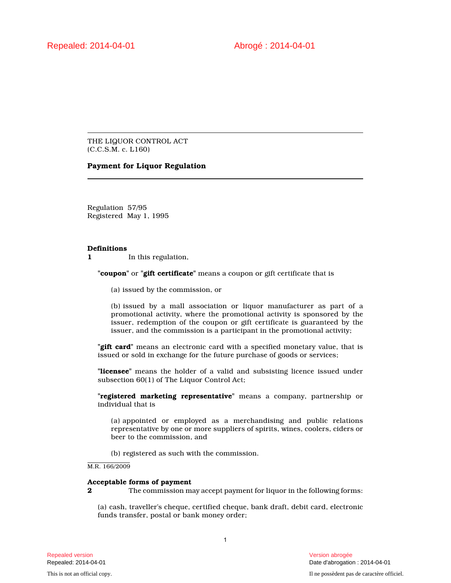THE LIQUOR CONTROL ACT (C.C.S.M. c. L160)

# **Payment for Liquor Regulation**

Regulation 57/95 Registered May 1, 1995

### **Definitions**

**1** In this regulation,

**"coupon"** or **"gift certificate"** means a coupon or gift certificate that is

(a) issued by the commission, or

(b) issued by a mall association or liquor manufacturer as part of a promotional activity, where the promotional activity is sponsored by the issuer, redemption of the coupon or gift certificate is guaranteed by the issuer, and the commission is a participant in the promotional activity;

**"gift card"** means an electronic card with a specified monetary value, that is issued or sold in exchange for the future purchase of goods or services;

**"licensee"** means the holder of a valid and subsisting licence issued under subsection 60(1) of The Liquor Control Act;

**"registered marketing representative"** means a company, partnership or individual that is

(a) appointed or employed as a merchandising and public relations representative by one or more suppliers of spirits, wines, coolers, ciders or beer to the commission, and

(b) registered as such with the commission.

M.R. 166/2009

#### **Acceptable forms of payment**

**2** The commission may accept payment for liquor in the following forms:

(a) cash, traveller's cheque, certified cheque, bank draft, debit card, electronic funds transfer, postal or bank money order;